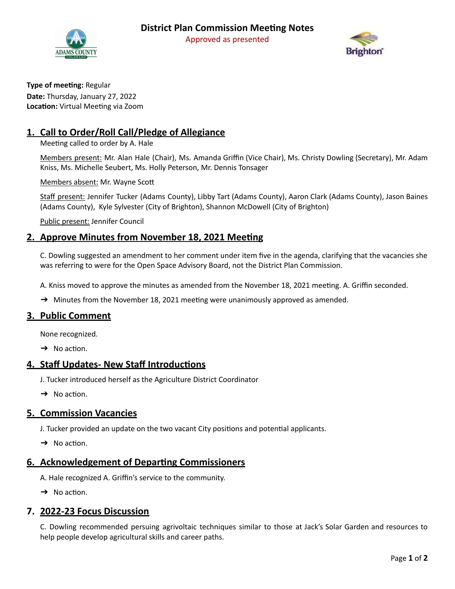



**Type of meeting: Regular Date:** Thursday, January 27, 2022 **Location:** Virtual Meeting via Zoom

# **1. Call to Order/Roll Call/Pledge of Allegiance**

Meeting called to order by A. Hale

Members present: Mr. Alan Hale (Chair), Ms. Amanda Griffin (Vice Chair), Ms. Christy Dowling (Secretary), Mr. Adam Kniss, Ms. Michelle Seubert, Ms. Holly Peterson, Mr. Dennis Tonsager

Members absent: Mr. Wayne Sco

Staff present: Jennifer Tucker (Adams County), Libby Tart (Adams County), Aaron Clark (Adams County), Jason Baines (Adams County), Kyle Sylvester (City of Brighton), Shannon McDowell (City of Brighton)

Public present: Jennifer Council

### **2. Approve Minutes from November 18, 2021 Meeting**

C. Dowling suggested an amendment to her comment under item five in the agenda, clarifying that the vacancies she was referring to were for the Open Space Advisory Board, not the District Plan Commission.

A. Kniss moved to approve the minutes as amended from the November 18, 2021 meeting. A. Griffin seconded.

 $\rightarrow$  Minutes from the November 18, 2021 meeting were unanimously approved as amended.

### **3. Public Comment**

None recognized.

 $\rightarrow$  No action.

### **4. Staff Updates- New Staff Introductions**

J. Tucker introduced herself as the Agriculture District Coordinator

 $\rightarrow$  No action.

### **5. Commission Vacancies**

J. Tucker provided an update on the two vacant City positions and potential applicants.

 $\rightarrow$  No action.

## **6.** Acknowledgement of Departing Commissioners

A. Hale recognized A. Griffin's service to the community.

 $\rightarrow$  No action.

## **7. 2022-23 Focus Discussion**

C. Dowling recommended persuing agrivoltaic techniques similar to those at Jack's Solar Garden and resources to help people develop agricultural skills and career paths.